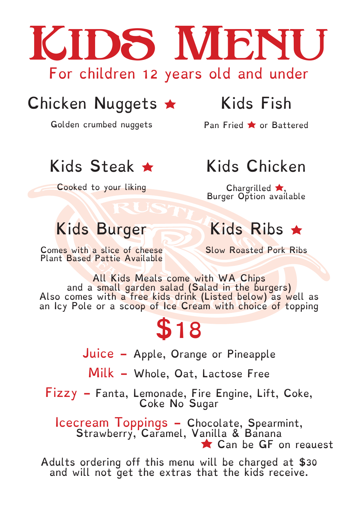

# Chicken Nuggets  $\star$  Kids Fish

Golden crumbed nuggets Pan Fried **t** or Battered

# Kids Steak  $\star$  Kids Chicken

Cooked to your liking Chargrilled  $\star$ ,

Burger Option available

# Kids Burger Kids Ribs \*

Comes with a slice of cheese Plant Based Pattie Available

Slow Roasted Pork Ribs

All Kids Meals come with WA Chips and a small garden salad (Salad in the burgers) Also comes with a free kids drink (Listed below) as well as an Icy Pole or a scoop of Ice Cream with choice of topping

# \$18

Juice - Apple, Orange or Pineapple

Milk - Whole, Oat, Lactose Free

Fizzy - Fanta, Lemonade, Fire Engine, Lift, Coke, Coke No Sugar

Icecream loppings - Chocolate, Spearmint, Strawberry, Caramel, Vanilla & Banana Can be GF on request

Adults ordering off this menu will be charged at \$30 and will not get the extras that the kids receive.